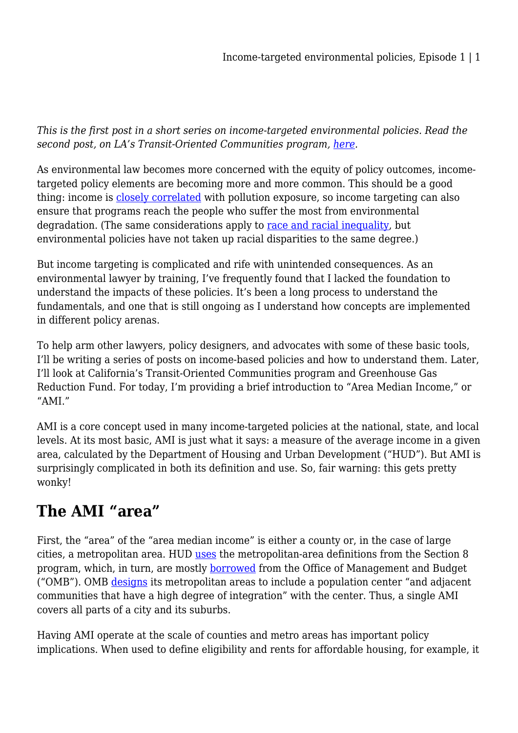*This is the first post in a short series on income-targeted environmental policies. Read the second post, on LA's Transit-Oriented Communities program, [here](https://legal-planet.org/2022/05/19/income-targeted-environmental-policies-episode-2/).*

As environmental law becomes more concerned with the equity of policy outcomes, incometargeted policy elements are becoming more and more common. This should be a good thing: income is [closely correlated](https://www.lung.org/clean-air/outdoors/who-is-at-risk/disparities) with pollution exposure, so income targeting can also ensure that programs reach the people who suffer the most from environmental degradation. (The same considerations apply to [race and racial inequality](https://oehha.ca.gov/media/downloads/calenviroscreen/document/calenviroscreen40raceanalysisf2021.pdf), but environmental policies have not taken up racial disparities to the same degree.)

But income targeting is complicated and rife with unintended consequences. As an environmental lawyer by training, I've frequently found that I lacked the foundation to understand the impacts of these policies. It's been a long process to understand the fundamentals, and one that is still ongoing as I understand how concepts are implemented in different policy arenas.

To help arm other lawyers, policy designers, and advocates with some of these basic tools, I'll be writing a series of posts on income-based policies and how to understand them. Later, I'll look at California's Transit-Oriented Communities program and Greenhouse Gas Reduction Fund. For today, I'm providing a brief introduction to "Area Median Income," or "AMI."

AMI is a core concept used in many income-targeted policies at the national, state, and local levels. At its most basic, AMI is just what it says: a measure of the average income in a given area, calculated by the Department of Housing and Urban Development ("HUD"). But AMI is surprisingly complicated in both its definition and use. So, fair warning: this gets pretty wonky!

## **The AMI "area"**

First, the "area" of the "area median income" is either a county or, in the case of large cities, a metropolitan area. HUD [uses](https://www.huduser.gov/portal/datasets/il/il21/Medians-Methodology-FY21.pdf) the metropolitan-area definitions from the Section 8 program, which, in turn, are mostly [borrowed](https://www.hud.gov/sites/documents/DOC_8402.PDF#page=3) from the Office of Management and Budget ("OMB"). OMB [designs](https://www.govinfo.gov/content/pkg/FR-2010-06-28/pdf/2010-15605.pdf#page=2) its metropolitan areas to include a population center "and adjacent communities that have a high degree of integration" with the center. Thus, a single AMI covers all parts of a city and its suburbs.

Having AMI operate at the scale of counties and metro areas has important policy implications. When used to define eligibility and rents for affordable housing, for example, it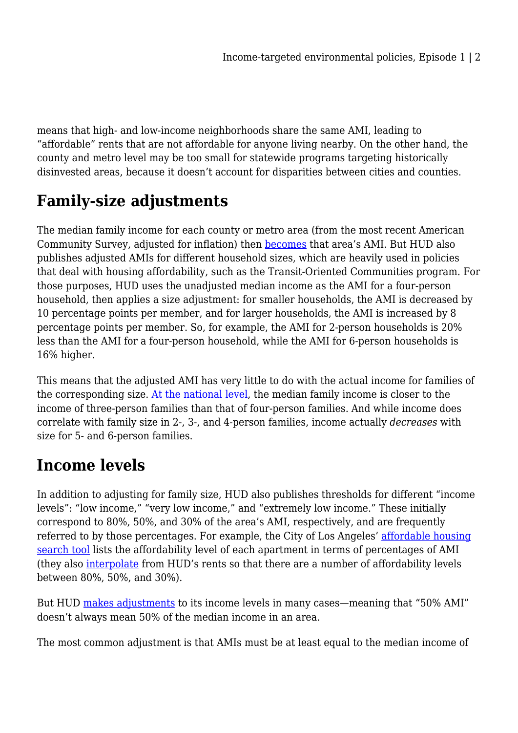means that high- and low-income neighborhoods share the same AMI, leading to "affordable" rents that are not affordable for anyone living nearby. On the other hand, the county and metro level may be too small for statewide programs targeting historically disinvested areas, because it doesn't account for disparities between cities and counties.

## **Family-size adjustments**

The median family income for each county or metro area (from the most recent American Community Survey, adjusted for inflation) then [becomes](https://www.huduser.gov/portal/datasets/il/il21/Medians-Methodology-FY21.pdf) that area's AMI. But HUD also publishes adjusted AMIs for different household sizes, which are heavily used in policies that deal with housing affordability, such as the Transit-Oriented Communities program. For those purposes, HUD uses the unadjusted median income as the AMI for a four-person household, then applies a size adjustment: for smaller households, the AMI is decreased by 10 percentage points per member, and for larger households, the AMI is increased by 8 percentage points per member. So, for example, the AMI for 2-person households is 20% less than the AMI for a four-person household, while the AMI for 6-person households is 16% higher.

This means that the adjusted AMI has very little to do with the actual income for families of the corresponding size. [At the national level,](https://data.census.gov/cedsci/table?tid=ACSDT1Y2019.B19119) the median family income is closer to the income of three-person families than that of four-person families. And while income does correlate with family size in 2-, 3-, and 4-person families, income actually *decreases* with size for 5- and 6-person families.

## **Income levels**

In addition to adjusting for family size, HUD also publishes thresholds for different "income levels": "low income," "very low income," and "extremely low income." These initially correspond to 80%, 50%, and 30% of the area's AMI, respectively, and are frequently referred to by those percentages. For example, the City of Los Angeles' [affordable housing](https://lahousing.lacity.org/AAHR/ComCon/Tab/RenderTab?tabName=Search%20for%20Accessible%20Housing) [search tool](https://lahousing.lacity.org/AAHR/ComCon/Tab/RenderTab?tabName=Search%20for%20Accessible%20Housing) lists the affordability level of each apartment in terms of percentages of AMI (they also [interpolate](https://lahousing.lacity.org/AAHR/Documents/AMI%20Income%20and%20Rent%20Limits.pdf) from HUD's rents so that there are a number of affordability levels between 80%, 50%, and 30%).

But HUD [makes adjustments](https://www.huduser.gov/portal/datasets/il/il21/IncomeLimitsMethodology-FY21.pdf#page=2) to its income levels in many cases—meaning that "50% AMI" doesn't always mean 50% of the median income in an area.

The most common adjustment is that AMIs must be at least equal to the median income of